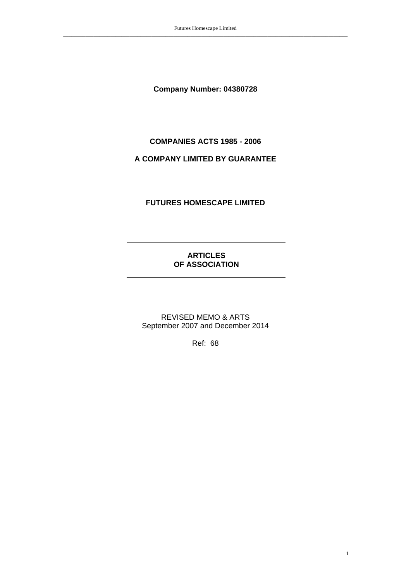**Company Number: 04380728** 

# **COMPANIES ACTS 1985 - 2006**

# **A COMPANY LIMITED BY GUARANTEE**

# **FUTURES HOMESCAPE LIMITED**

# **ARTICLES OF ASSOCIATION**

REVISED MEMO & ARTS September 2007 and December 2014

Ref: 68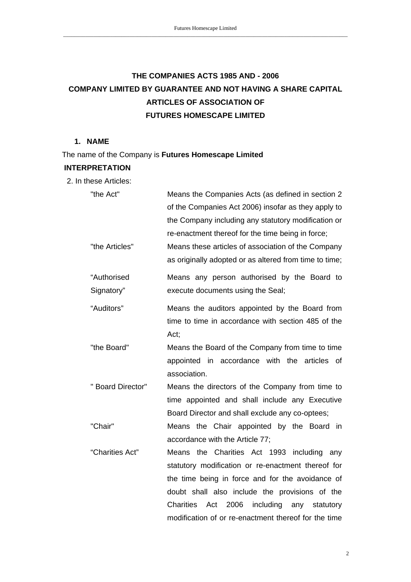# **THE COMPANIES ACTS 1985 AND - 2006 COMPANY LIMITED BY GUARANTEE AND NOT HAVING A SHARE CAPITAL ARTICLES OF ASSOCIATION OF FUTURES HOMESCAPE LIMITED**

# **1. NAME**

The name of the Company is **Futures Homescape Limited** 

# **INTERPRETATION**

2. In these Articles:

| "the Act"         | Means the Companies Acts (as defined in section 2                |
|-------------------|------------------------------------------------------------------|
|                   | of the Companies Act 2006) insofar as they apply to              |
|                   | the Company including any statutory modification or              |
|                   | re-enactment thereof for the time being in force;                |
| "the Articles"    | Means these articles of association of the Company               |
|                   | as originally adopted or as altered from time to time;           |
| "Authorised       | Means any person authorised by the Board to                      |
| Signatory"        | execute documents using the Seal;                                |
| "Auditors"        | Means the auditors appointed by the Board from                   |
|                   | time to time in accordance with section 485 of the               |
|                   | Act;                                                             |
| "the Board"       | Means the Board of the Company from time to time                 |
|                   | appointed in accordance with the<br>articles<br>of               |
|                   | association.                                                     |
| " Board Director" | Means the directors of the Company from time to                  |
|                   | time appointed and shall include any Executive                   |
|                   | Board Director and shall exclude any co-optees;                  |
| "Chair"           | Means the Chair appointed by the Board in                        |
|                   | accordance with the Article 77;                                  |
| "Charities Act"   | the Charities Act 1993 including<br>Means<br>any                 |
|                   | statutory modification or re-enactment thereof for               |
|                   | the time being in force and for the avoidance of                 |
|                   | doubt shall also include the provisions of the                   |
|                   | <b>Charities</b><br>including<br>Act<br>2006<br>any<br>statutory |
|                   | modification of or re-enactment thereof for the time             |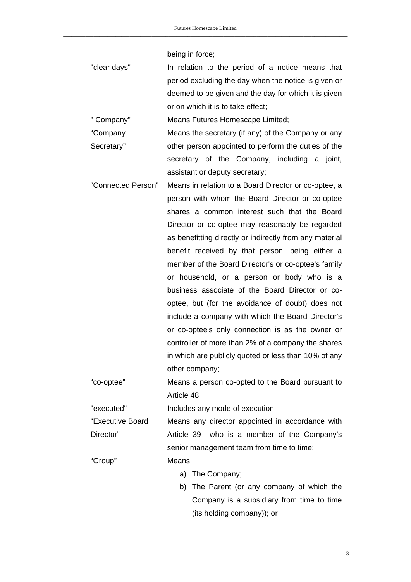being in force;

"clear days" In relation to the period of a notice means that period excluding the day when the notice is given or deemed to be given and the day for which it is given or on which it is to take effect;

" Company" Means Futures Homescape Limited;

"Company Secretary" Means the secretary (if any) of the Company or any other person appointed to perform the duties of the secretary of the Company, including a joint, assistant or deputy secretary;

"Connected Person" Means in relation to a Board Director or co-optee, a person with whom the Board Director or co-optee shares a common interest such that the Board Director or co-optee may reasonably be regarded as benefitting directly or indirectly from any material benefit received by that person, being either a member of the Board Director's or co-optee's family or household, or a person or body who is a business associate of the Board Director or cooptee, but (for the avoidance of doubt) does not include a company with which the Board Director's or co-optee's only connection is as the owner or controller of more than 2% of a company the shares in which are publicly quoted or less than 10% of any other company;

"co-optee" Means a person co-opted to the Board pursuant to Article 48

"executed" Includes any mode of execution;

"Executive Board Director" Means any director appointed in accordance with Article 39 who is a member of the Company's senior management team from time to time;

"Group" Means:

- a) The Company;
- b) The Parent (or any company of which the Company is a subsidiary from time to time (its holding company)); or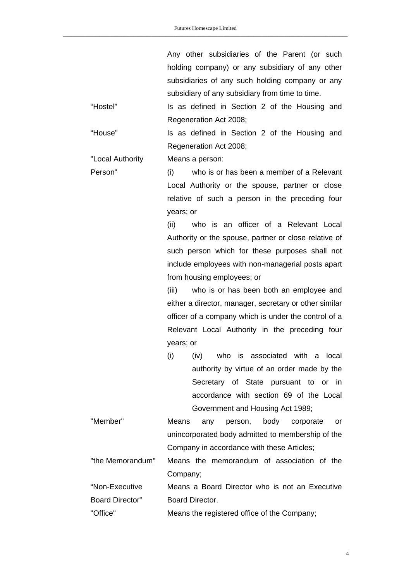Any other subsidiaries of the Parent (or such holding company) or any subsidiary of any other subsidiaries of any such holding company or any subsidiary of any subsidiary from time to time.

"Hostel" Is as defined in Section 2 of the Housing and Regeneration Act 2008;

"House" Is as defined in Section 2 of the Housing and Regeneration Act 2008;

"Local Authority Means a person:

Person" (i) who is or has been a member of a Relevant Local Authority or the spouse, partner or close relative of such a person in the preceding four years; or

> (ii) who is an officer of a Relevant Local Authority or the spouse, partner or close relative of such person which for these purposes shall not include employees with non-managerial posts apart from housing employees; or

> (iii) who is or has been both an employee and either a director, manager, secretary or other similar officer of a company which is under the control of a Relevant Local Authority in the preceding four years; or

(i) (iv) who is associated with a local authority by virtue of an order made by the Secretary of State pursuant to or in accordance with section 69 of the Local Government and Housing Act 1989;

"Member" Means any person, body corporate or unincorporated body admitted to membership of the Company in accordance with these Articles;

"the Memorandum" Means the memorandum of association of the Company;

"Non-Executive Board Director" Means a Board Director who is not an Executive Board Director.

"Office" Means the registered office of the Company;

4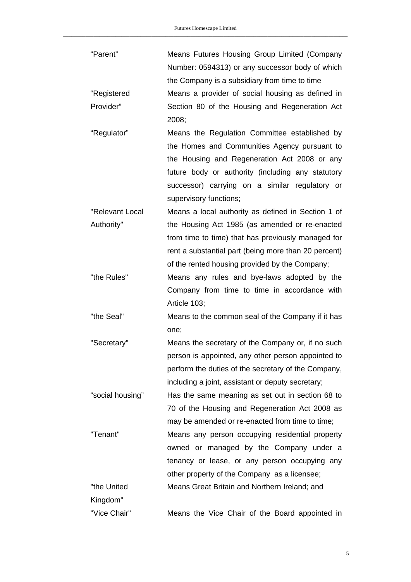| "Parent"         | Means Futures Housing Group Limited (Company         |
|------------------|------------------------------------------------------|
|                  | Number: 0594313) or any successor body of which      |
|                  | the Company is a subsidiary from time to time        |
| "Registered      | Means a provider of social housing as defined in     |
| Provider"        | Section 80 of the Housing and Regeneration Act       |
|                  | 2008;                                                |
| "Regulator"      | Means the Regulation Committee established by        |
|                  | the Homes and Communities Agency pursuant to         |
|                  | the Housing and Regeneration Act 2008 or any         |
|                  | future body or authority (including any statutory    |
|                  | successor) carrying on a similar regulatory or       |
|                  | supervisory functions;                               |
| "Relevant Local  | Means a local authority as defined in Section 1 of   |
| Authority"       | the Housing Act 1985 (as amended or re-enacted       |
|                  | from time to time) that has previously managed for   |
|                  | rent a substantial part (being more than 20 percent) |
|                  | of the rented housing provided by the Company;       |
| "the Rules"      | Means any rules and bye-laws adopted by the          |
|                  | Company from time to time in accordance with         |
|                  | Article 103;                                         |
| "the Seal"       | Means to the common seal of the Company if it has    |
|                  | one;                                                 |
| "Secretary"      | Means the secretary of the Company or, if no such    |
|                  | person is appointed, any other person appointed to   |
|                  | perform the duties of the secretary of the Company,  |
|                  | including a joint, assistant or deputy secretary;    |
| "social housing" | Has the same meaning as set out in section 68 to     |
|                  | 70 of the Housing and Regeneration Act 2008 as       |
|                  | may be amended or re-enacted from time to time;      |
| "Tenant"         | Means any person occupying residential property      |
|                  | owned or managed by the Company under a              |
|                  | tenancy or lease, or any person occupying any        |
|                  | other property of the Company as a licensee;         |
| "the United      | Means Great Britain and Northern Ireland; and        |
| Kingdom"         |                                                      |
| "Vice Chair"     | Means the Vice Chair of the Board appointed in       |

5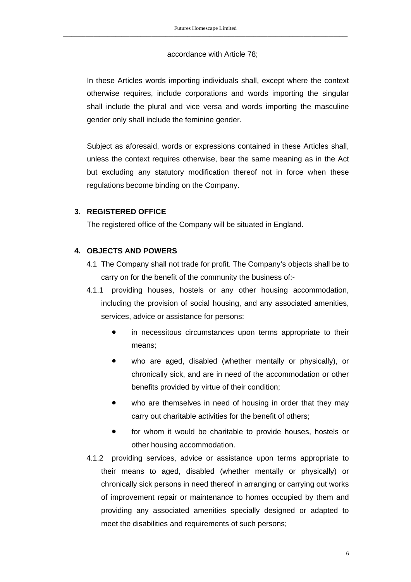#### accordance with Article 78;

In these Articles words importing individuals shall, except where the context otherwise requires, include corporations and words importing the singular shall include the plural and vice versa and words importing the masculine gender only shall include the feminine gender.

Subject as aforesaid, words or expressions contained in these Articles shall, unless the context requires otherwise, bear the same meaning as in the Act but excluding any statutory modification thereof not in force when these regulations become binding on the Company.

### **3. REGISTERED OFFICE**

The registered office of the Company will be situated in England.

### **4. OBJECTS AND POWERS**

- 4.1 The Company shall not trade for profit. The Company's objects shall be to carry on for the benefit of the community the business of:-
- 4.1.1 providing houses, hostels or any other housing accommodation, including the provision of social housing, and any associated amenities, services, advice or assistance for persons:
	- in necessitous circumstances upon terms appropriate to their means;
	- who are aged, disabled (whether mentally or physically), or chronically sick, and are in need of the accommodation or other benefits provided by virtue of their condition;
	- who are themselves in need of housing in order that they may carry out charitable activities for the benefit of others;
	- **•** for whom it would be charitable to provide houses, hostels or other housing accommodation.
- 4.1.2 providing services, advice or assistance upon terms appropriate to their means to aged, disabled (whether mentally or physically) or chronically sick persons in need thereof in arranging or carrying out works of improvement repair or maintenance to homes occupied by them and providing any associated amenities specially designed or adapted to meet the disabilities and requirements of such persons;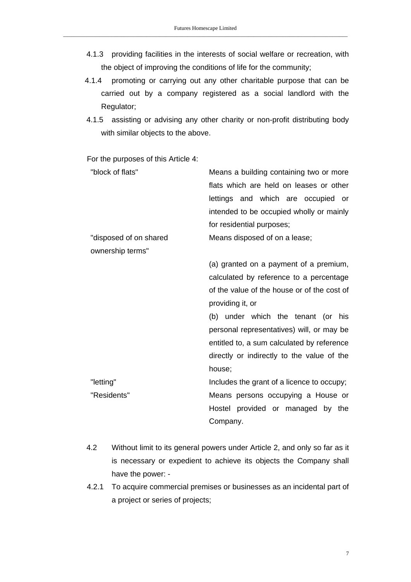- 4.1.3 providing facilities in the interests of social welfare or recreation, with the object of improving the conditions of life for the community;
- 4.1.4 promoting or carrying out any other charitable purpose that can be carried out by a company registered as a social landlord with the Regulator;
- 4.1.5 assisting or advising any other charity or non-profit distributing body with similar objects to the above.

For the purposes of this Article 4:

| "block of flats"       | Means a building containing two or more     |
|------------------------|---------------------------------------------|
|                        | flats which are held on leases or other     |
|                        | lettings and which are occupied or          |
|                        | intended to be occupied wholly or mainly    |
|                        | for residential purposes;                   |
| "disposed of on shared | Means disposed of on a lease;               |
| ownership terms"       |                                             |
|                        | (a) granted on a payment of a premium,      |
|                        | calculated by reference to a percentage     |
|                        | of the value of the house or of the cost of |
|                        | providing it, or                            |
|                        | (b) under which the tenant (or<br>his       |
|                        | personal representatives) will, or may be   |
|                        | entitled to, a sum calculated by reference  |
|                        | directly or indirectly to the value of the  |
|                        | house;                                      |
| "letting"              | Includes the grant of a licence to occupy;  |
| "Residents"            | Means persons occupying a House or          |
|                        | Hostel provided or managed by the           |
|                        | Company.                                    |
|                        |                                             |

- 4.2 Without limit to its general powers under Article 2, and only so far as it is necessary or expedient to achieve its objects the Company shall have the power: -
- 4.2.1 To acquire commercial premises or businesses as an incidental part of a project or series of projects;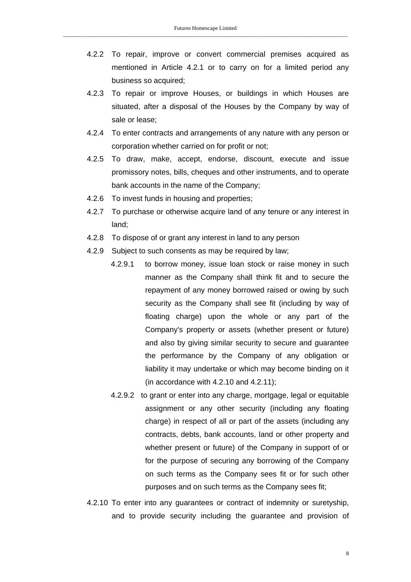- 4.2.2 To repair, improve or convert commercial premises acquired as mentioned in Article 4.2.1 or to carry on for a limited period any business so acquired;
- 4.2.3 To repair or improve Houses, or buildings in which Houses are situated, after a disposal of the Houses by the Company by way of sale or lease;
- 4.2.4 To enter contracts and arrangements of any nature with any person or corporation whether carried on for profit or not;
- 4.2.5 To draw, make, accept, endorse, discount, execute and issue promissory notes, bills, cheques and other instruments, and to operate bank accounts in the name of the Company;
- 4.2.6 To invest funds in housing and properties;
- 4.2.7 To purchase or otherwise acquire land of any tenure or any interest in land;
- 4.2.8 To dispose of or grant any interest in land to any person
- 4.2.9 Subject to such consents as may be required by law;
	- 4.2.9.1 to borrow money, issue loan stock or raise money in such manner as the Company shall think fit and to secure the repayment of any money borrowed raised or owing by such security as the Company shall see fit (including by way of floating charge) upon the whole or any part of the Company's property or assets (whether present or future) and also by giving similar security to secure and guarantee the performance by the Company of any obligation or liability it may undertake or which may become binding on it (in accordance with 4.2.10 and 4.2.11);
	- 4.2.9.2 to grant or enter into any charge, mortgage, legal or equitable assignment or any other security (including any floating charge) in respect of all or part of the assets (including any contracts, debts, bank accounts, land or other property and whether present or future) of the Company in support of or for the purpose of securing any borrowing of the Company on such terms as the Company sees fit or for such other purposes and on such terms as the Company sees fit;

4.2.10 To enter into any guarantees or contract of indemnity or suretyship, and to provide security including the guarantee and provision of

8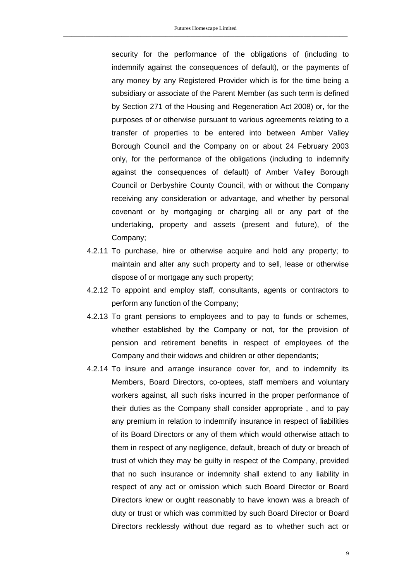security for the performance of the obligations of (including to indemnify against the consequences of default), or the payments of any money by any Registered Provider which is for the time being a subsidiary or associate of the Parent Member (as such term is defined by Section 271 of the Housing and Regeneration Act 2008) or, for the purposes of or otherwise pursuant to various agreements relating to a transfer of properties to be entered into between Amber Valley Borough Council and the Company on or about 24 February 2003 only, for the performance of the obligations (including to indemnify against the consequences of default) of Amber Valley Borough Council or Derbyshire County Council, with or without the Company receiving any consideration or advantage, and whether by personal covenant or by mortgaging or charging all or any part of the undertaking, property and assets (present and future), of the Company;

- 4.2.11 To purchase, hire or otherwise acquire and hold any property; to maintain and alter any such property and to sell, lease or otherwise dispose of or mortgage any such property;
- 4.2.12 To appoint and employ staff, consultants, agents or contractors to perform any function of the Company;
- 4.2.13 To grant pensions to employees and to pay to funds or schemes, whether established by the Company or not, for the provision of pension and retirement benefits in respect of employees of the Company and their widows and children or other dependants;
- 4.2.14 To insure and arrange insurance cover for, and to indemnify its Members, Board Directors, co-optees, staff members and voluntary workers against, all such risks incurred in the proper performance of their duties as the Company shall consider appropriate , and to pay any premium in relation to indemnify insurance in respect of liabilities of its Board Directors or any of them which would otherwise attach to them in respect of any negligence, default, breach of duty or breach of trust of which they may be guilty in respect of the Company, provided that no such insurance or indemnity shall extend to any liability in respect of any act or omission which such Board Director or Board Directors knew or ought reasonably to have known was a breach of duty or trust or which was committed by such Board Director or Board Directors recklessly without due regard as to whether such act or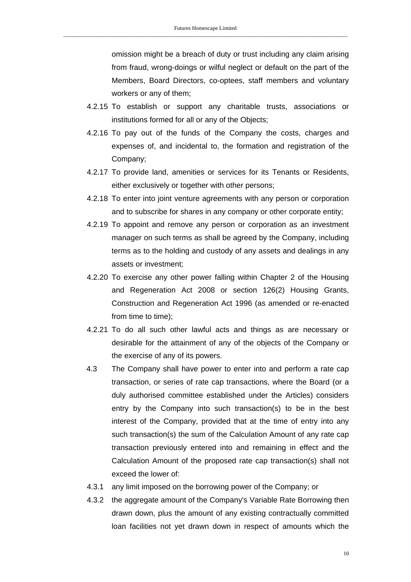omission might be a breach of duty or trust including any claim arising from fraud, wrong-doings or wilful neglect or default on the part of the Members, Board Directors, co-optees, staff members and voluntary workers or any of them;

- 4.2.15 To establish or support any charitable trusts, associations or institutions formed for all or any of the Objects;
- 4.2.16 To pay out of the funds of the Company the costs, charges and expenses of, and incidental to, the formation and registration of the Company;
- 4.2.17 To provide land, amenities or services for its Tenants or Residents, either exclusively or together with other persons;
- 4.2.18 To enter into joint venture agreements with any person or corporation and to subscribe for shares in any company or other corporate entity;
- 4.2.19 To appoint and remove any person or corporation as an investment manager on such terms as shall be agreed by the Company, including terms as to the holding and custody of any assets and dealings in any assets or investment;
- 4.2.20 To exercise any other power falling within Chapter 2 of the Housing and Regeneration Act 2008 or section 126(2) Housing Grants, Construction and Regeneration Act 1996 (as amended or re-enacted from time to time);
- 4.2.21 To do all such other lawful acts and things as are necessary or desirable for the attainment of any of the objects of the Company or the exercise of any of its powers.
- 4.3 The Company shall have power to enter into and perform a rate cap transaction, or series of rate cap transactions, where the Board (or a duly authorised committee established under the Articles) considers entry by the Company into such transaction(s) to be in the best interest of the Company, provided that at the time of entry into any such transaction(s) the sum of the Calculation Amount of any rate cap transaction previously entered into and remaining in effect and the Calculation Amount of the proposed rate cap transaction(s) shall not exceed the lower of:
- 4.3.1 any limit imposed on the borrowing power of the Company; or
- 4.3.2 the aggregate amount of the Company's Variable Rate Borrowing then drawn down, plus the amount of any existing contractually committed loan facilities not yet drawn down in respect of amounts which the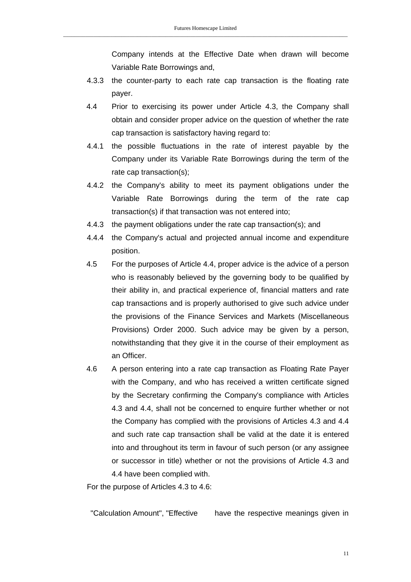Company intends at the Effective Date when drawn will become Variable Rate Borrowings and,

- 4.3.3 the counter-party to each rate cap transaction is the floating rate payer.
- 4.4 Prior to exercising its power under Article 4.3, the Company shall obtain and consider proper advice on the question of whether the rate cap transaction is satisfactory having regard to:
- 4.4.1 the possible fluctuations in the rate of interest payable by the Company under its Variable Rate Borrowings during the term of the rate cap transaction(s);
- 4.4.2 the Company's ability to meet its payment obligations under the Variable Rate Borrowings during the term of the rate cap transaction(s) if that transaction was not entered into;
- 4.4.3 the payment obligations under the rate cap transaction(s); and
- 4.4.4 the Company's actual and projected annual income and expenditure position.
- 4.5 For the purposes of Article 4.4, proper advice is the advice of a person who is reasonably believed by the governing body to be qualified by their ability in, and practical experience of, financial matters and rate cap transactions and is properly authorised to give such advice under the provisions of the Finance Services and Markets (Miscellaneous Provisions) Order 2000. Such advice may be given by a person, notwithstanding that they give it in the course of their employment as an Officer.
- 4.6 A person entering into a rate cap transaction as Floating Rate Payer with the Company, and who has received a written certificate signed by the Secretary confirming the Company's compliance with Articles 4.3 and 4.4, shall not be concerned to enquire further whether or not the Company has complied with the provisions of Articles 4.3 and 4.4 and such rate cap transaction shall be valid at the date it is entered into and throughout its term in favour of such person (or any assignee or successor in title) whether or not the provisions of Article 4.3 and 4.4 have been complied with.

For the purpose of Articles 4.3 to 4.6:

"Calculation Amount", "Effective have the respective meanings given in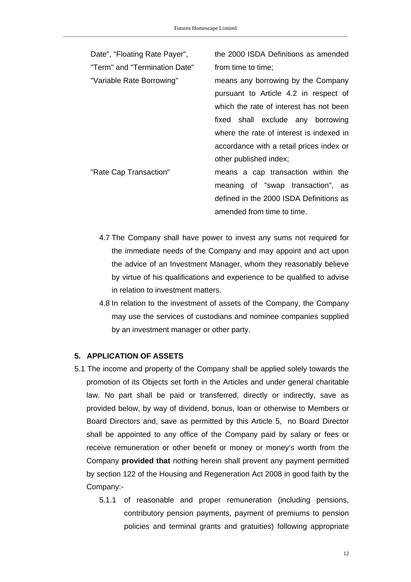| Date", "Floating Rate Payer", | the 2000 ISDA Definitions as amended     |
|-------------------------------|------------------------------------------|
| "Term" and "Termination Date" | from time to time;                       |
| "Variable Rate Borrowing"     | means any borrowing by the Company       |
|                               | pursuant to Article 4.2 in respect of    |
|                               | which the rate of interest has not been  |
|                               | fixed shall exclude any borrowing        |
|                               | where the rate of interest is indexed in |
|                               | accordance with a retail prices index or |
|                               | other published index;                   |
| "Rate Cap Transaction"        | means a cap transaction within the       |
|                               | meaning of "swap transaction", as        |
|                               | defined in the 2000 ISDA Definitions as  |
|                               | amended from time to time.               |

- 4.7 The Company shall have power to invest any sums not required for the immediate needs of the Company and may appoint and act upon the advice of an Investment Manager, whom they reasonably believe by virtue of his qualifications and experience to be qualified to advise in relation to investment matters.
- 4.8 In relation to the investment of assets of the Company, the Company may use the services of custodians and nominee companies supplied by an investment manager or other party.

#### **5. APPLICATION OF ASSETS**

- 5.1 The income and property of the Company shall be applied solely towards the promotion of its Objects set forth in the Articles and under general charitable law. No part shall be paid or transferred, directly or indirectly, save as provided below, by way of dividend, bonus, loan or otherwise to Members or Board Directors and, save as permitted by this Article 5, no Board Director shall be appointed to any office of the Company paid by salary or fees or receive remuneration or other benefit or money or money's worth from the Company **provided that** nothing herein shall prevent any payment permitted by section 122 of the Housing and Regeneration Act 2008 in good faith by the Company:-
	- 5.1.1 of reasonable and proper remuneration (including pensions, contributory pension payments, payment of premiums to pension policies and terminal grants and gratuities) following appropriate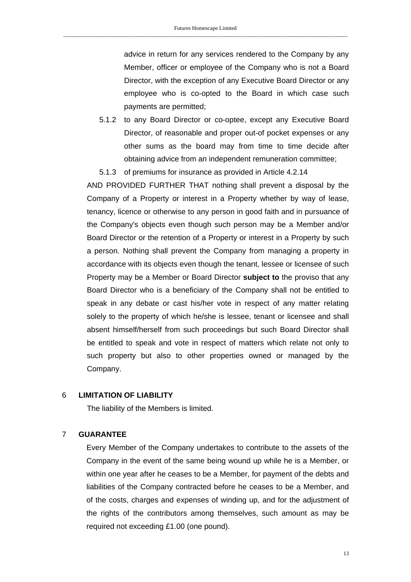advice in return for any services rendered to the Company by any Member, officer or employee of the Company who is not a Board Director, with the exception of any Executive Board Director or any employee who is co-opted to the Board in which case such payments are permitted;

- 5.1.2 to any Board Director or co-optee, except any Executive Board Director, of reasonable and proper out-of pocket expenses or any other sums as the board may from time to time decide after obtaining advice from an independent remuneration committee;
- 5.1.3 of premiums for insurance as provided in Article 4.2.14

AND PROVIDED FURTHER THAT nothing shall prevent a disposal by the Company of a Property or interest in a Property whether by way of lease, tenancy, licence or otherwise to any person in good faith and in pursuance of the Company's objects even though such person may be a Member and/or Board Director or the retention of a Property or interest in a Property by such a person. Nothing shall prevent the Company from managing a property in accordance with its objects even though the tenant, lessee or licensee of such Property may be a Member or Board Director **subject to** the proviso that any Board Director who is a beneficiary of the Company shall not be entitled to speak in any debate or cast his/her vote in respect of any matter relating solely to the property of which he/she is lessee, tenant or licensee and shall absent himself/herself from such proceedings but such Board Director shall be entitled to speak and vote in respect of matters which relate not only to such property but also to other properties owned or managed by the Company.

#### 6 **LIMITATION OF LIABILITY**

The liability of the Members is limited.

#### 7 **GUARANTEE**

Every Member of the Company undertakes to contribute to the assets of the Company in the event of the same being wound up while he is a Member, or within one year after he ceases to be a Member, for payment of the debts and liabilities of the Company contracted before he ceases to be a Member, and of the costs, charges and expenses of winding up, and for the adjustment of the rights of the contributors among themselves, such amount as may be required not exceeding £1.00 (one pound).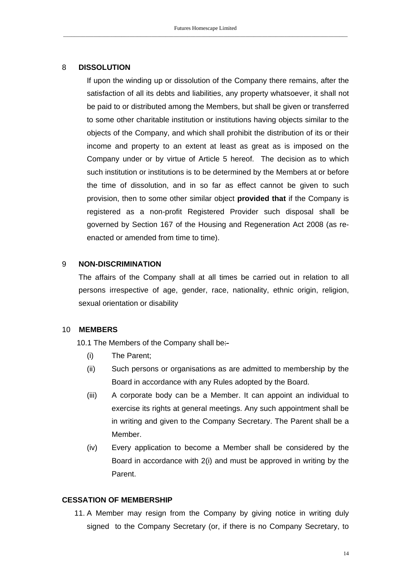### 8 **DISSOLUTION**

If upon the winding up or dissolution of the Company there remains, after the satisfaction of all its debts and liabilities, any property whatsoever, it shall not be paid to or distributed among the Members, but shall be given or transferred to some other charitable institution or institutions having objects similar to the objects of the Company, and which shall prohibit the distribution of its or their income and property to an extent at least as great as is imposed on the Company under or by virtue of Article 5 hereof. The decision as to which such institution or institutions is to be determined by the Members at or before the time of dissolution, and in so far as effect cannot be given to such provision, then to some other similar object **provided that** if the Company is registered as a non-profit Registered Provider such disposal shall be governed by Section 167 of the Housing and Regeneration Act 2008 (as reenacted or amended from time to time).

### 9 **NON-DISCRIMINATION**

The affairs of the Company shall at all times be carried out in relation to all persons irrespective of age, gender, race, nationality, ethnic origin, religion, sexual orientation or disability

#### 10 **MEMBERS**

10.1 The Members of the Company shall be:-

- (i) The Parent;
- (ii) Such persons or organisations as are admitted to membership by the Board in accordance with any Rules adopted by the Board.
- (iii) A corporate body can be a Member. It can appoint an individual to exercise its rights at general meetings. Any such appointment shall be in writing and given to the Company Secretary. The Parent shall be a Member.
- (iv) Every application to become a Member shall be considered by the Board in accordance with 2(i) and must be approved in writing by the Parent.

### **CESSATION OF MEMBERSHIP**

11. A Member may resign from the Company by giving notice in writing duly signed to the Company Secretary (or, if there is no Company Secretary, to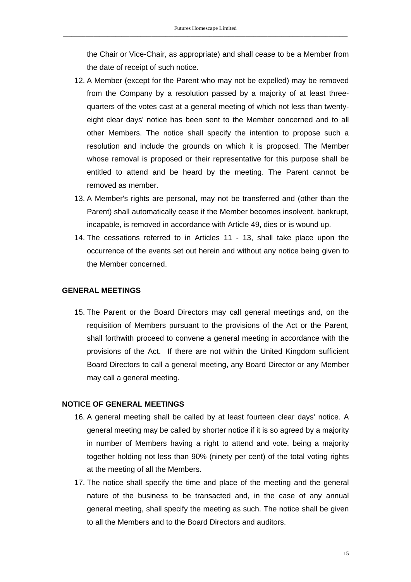the Chair or Vice-Chair, as appropriate) and shall cease to be a Member from the date of receipt of such notice.

- 12. A Member (except for the Parent who may not be expelled) may be removed from the Company by a resolution passed by a majority of at least threequarters of the votes cast at a general meeting of which not less than twentyeight clear days' notice has been sent to the Member concerned and to all other Members. The notice shall specify the intention to propose such a resolution and include the grounds on which it is proposed. The Member whose removal is proposed or their representative for this purpose shall be entitled to attend and be heard by the meeting. The Parent cannot be removed as member.
- 13. A Member's rights are personal, may not be transferred and (other than the Parent) shall automatically cease if the Member becomes insolvent, bankrupt, incapable, is removed in accordance with Article 49, dies or is wound up.
- 14. The cessations referred to in Articles 11 13, shall take place upon the occurrence of the events set out herein and without any notice being given to the Member concerned.

### **GENERAL MEETINGS**

15. The Parent or the Board Directors may call general meetings and, on the requisition of Members pursuant to the provisions of the Act or the Parent, shall forthwith proceed to convene a general meeting in accordance with the provisions of the Act. If there are not within the United Kingdom sufficient Board Directors to call a general meeting, any Board Director or any Member may call a general meeting.

### **NOTICE OF GENERAL MEETINGS**

- 16. A-general meeting shall be called by at least fourteen clear days' notice. A general meeting may be called by shorter notice if it is so agreed by a majority in number of Members having a right to attend and vote, being a majority together holding not less than 90% (ninety per cent) of the total voting rights at the meeting of all the Members.
- 17. The notice shall specify the time and place of the meeting and the general nature of the business to be transacted and, in the case of any annual general meeting, shall specify the meeting as such. The notice shall be given to all the Members and to the Board Directors and auditors.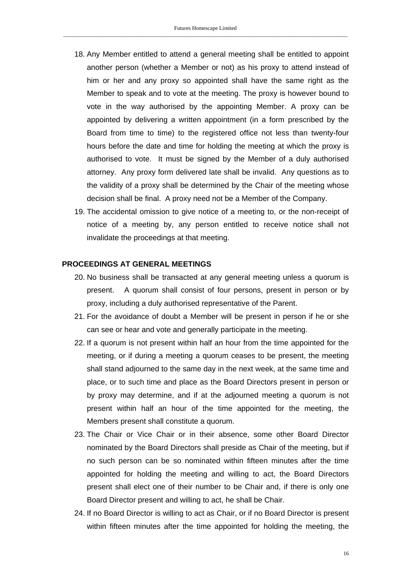- 18. Any Member entitled to attend a general meeting shall be entitled to appoint another person (whether a Member or not) as his proxy to attend instead of him or her and any proxy so appointed shall have the same right as the Member to speak and to vote at the meeting. The proxy is however bound to vote in the way authorised by the appointing Member. A proxy can be appointed by delivering a written appointment (in a form prescribed by the Board from time to time) to the registered office not less than twenty-four hours before the date and time for holding the meeting at which the proxy is authorised to vote. It must be signed by the Member of a duly authorised attorney. Any proxy form delivered late shall be invalid. Any questions as to the validity of a proxy shall be determined by the Chair of the meeting whose decision shall be final. A proxy need not be a Member of the Company.
- 19. The accidental omission to give notice of a meeting to, or the non-receipt of notice of a meeting by, any person entitled to receive notice shall not invalidate the proceedings at that meeting.

#### **PROCEEDINGS AT GENERAL MEETINGS**

- 20. No business shall be transacted at any general meeting unless a quorum is present. A quorum shall consist of four persons, present in person or by proxy, including a duly authorised representative of the Parent.
- 21. For the avoidance of doubt a Member will be present in person if he or she can see or hear and vote and generally participate in the meeting.
- 22. If a quorum is not present within half an hour from the time appointed for the meeting, or if during a meeting a quorum ceases to be present, the meeting shall stand adjourned to the same day in the next week, at the same time and place, or to such time and place as the Board Directors present in person or by proxy may determine, and if at the adjourned meeting a quorum is not present within half an hour of the time appointed for the meeting, the Members present shall constitute a quorum.
- 23. The Chair or Vice Chair or in their absence, some other Board Director nominated by the Board Directors shall preside as Chair of the meeting, but if no such person can be so nominated within fifteen minutes after the time appointed for holding the meeting and willing to act, the Board Directors present shall elect one of their number to be Chair and, if there is only one Board Director present and willing to act, he shall be Chair.
- 24. If no Board Director is willing to act as Chair, or if no Board Director is present within fifteen minutes after the time appointed for holding the meeting, the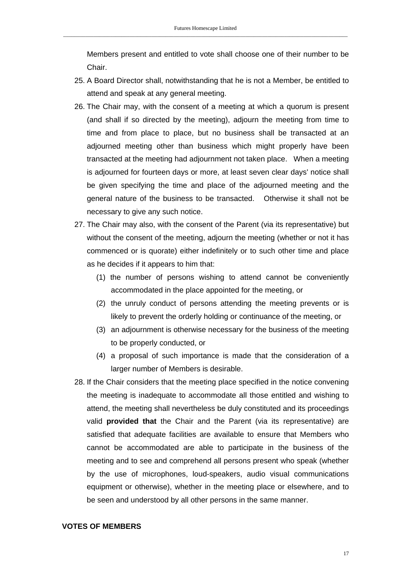Members present and entitled to vote shall choose one of their number to be Chair.

- 25. A Board Director shall, notwithstanding that he is not a Member, be entitled to attend and speak at any general meeting.
- 26. The Chair may, with the consent of a meeting at which a quorum is present (and shall if so directed by the meeting), adjourn the meeting from time to time and from place to place, but no business shall be transacted at an adjourned meeting other than business which might properly have been transacted at the meeting had adjournment not taken place. When a meeting is adjourned for fourteen days or more, at least seven clear days' notice shall be given specifying the time and place of the adjourned meeting and the general nature of the business to be transacted. Otherwise it shall not be necessary to give any such notice.
- 27. The Chair may also, with the consent of the Parent (via its representative) but without the consent of the meeting, adjourn the meeting (whether or not it has commenced or is quorate) either indefinitely or to such other time and place as he decides if it appears to him that:
	- (1) the number of persons wishing to attend cannot be conveniently accommodated in the place appointed for the meeting, or
	- (2) the unruly conduct of persons attending the meeting prevents or is likely to prevent the orderly holding or continuance of the meeting, or
	- (3) an adjournment is otherwise necessary for the business of the meeting to be properly conducted, or
	- (4) a proposal of such importance is made that the consideration of a larger number of Members is desirable.
- 28. If the Chair considers that the meeting place specified in the notice convening the meeting is inadequate to accommodate all those entitled and wishing to attend, the meeting shall nevertheless be duly constituted and its proceedings valid **provided that** the Chair and the Parent (via its representative) are satisfied that adequate facilities are available to ensure that Members who cannot be accommodated are able to participate in the business of the meeting and to see and comprehend all persons present who speak (whether by the use of microphones, loud-speakers, audio visual communications equipment or otherwise), whether in the meeting place or elsewhere, and to be seen and understood by all other persons in the same manner.

#### **VOTES OF MEMBERS**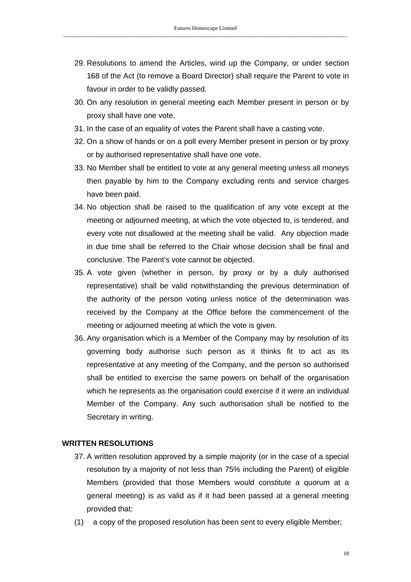- 29. Resolutions to amend the Articles, wind up the Company, or under section 168 of the Act (to remove a Board Director) shall require the Parent to vote in favour in order to be validly passed.
- 30. On any resolution in general meeting each Member present in person or by proxy shall have one vote.
- 31. In the case of an equality of votes the Parent shall have a casting vote.
- 32. On a show of hands or on a poll every Member present in person or by proxy or by authorised representative shall have one vote.
- 33. No Member shall be entitled to vote at any general meeting unless all moneys then payable by him to the Company excluding rents and service charges have been paid.
- 34. No objection shall be raised to the qualification of any vote except at the meeting or adjourned meeting, at which the vote objected to, is tendered, and every vote not disallowed at the meeting shall be valid. Any objection made in due time shall be referred to the Chair whose decision shall be final and conclusive. The Parent's vote cannot be objected.
- 35. A vote given (whether in person, by proxy or by a duly authorised representative) shall be valid notwithstanding the previous determination of the authority of the person voting unless notice of the determination was received by the Company at the Office before the commencement of the meeting or adjourned meeting at which the vote is given.
- 36. Any organisation which is a Member of the Company may by resolution of its governing body authorise such person as it thinks fit to act as its representative at any meeting of the Company, and the person so authorised shall be entitled to exercise the same powers on behalf of the organisation which he represents as the organisation could exercise if it were an individual Member of the Company. Any such authorisation shall be notified to the Secretary in writing.

### **WRITTEN RESOLUTIONS**

- 37. A written resolution approved by a simple majority (or in the case of a special resolution by a majority of not less than 75% including the Parent) of eligible Members (provided that those Members would constitute a quorum at a general meeting) is as valid as if it had been passed at a general meeting provided that:
- (1) a copy of the proposed resolution has been sent to every eligible Member;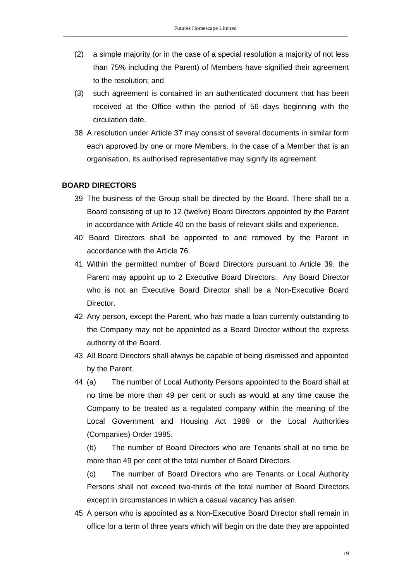- (2) a simple majority (or in the case of a special resolution a majority of not less than 75% including the Parent) of Members have signified their agreement to the resolution; and
- (3) such agreement is contained in an authenticated document that has been received at the Office within the period of 56 days beginning with the circulation date.
- 38 A resolution under Article 37 may consist of several documents in similar form each approved by one or more Members. In the case of a Member that is an organisation, its authorised representative may signify its agreement.

### **BOARD DIRECTORS**

- 39 The business of the Group shall be directed by the Board. There shall be a Board consisting of up to 12 (twelve) Board Directors appointed by the Parent in accordance with Article 40 on the basis of relevant skills and experience.
- 40 Board Directors shall be appointed to and removed by the Parent in accordance with the Article 76.
- 41 Within the permitted number of Board Directors pursuant to Article 39, the Parent may appoint up to 2 Executive Board Directors. Any Board Director who is not an Executive Board Director shall be a Non-Executive Board **Director**
- 42 Any person, except the Parent, who has made a loan currently outstanding to the Company may not be appointed as a Board Director without the express authority of the Board.
- 43 All Board Directors shall always be capable of being dismissed and appointed by the Parent.
- 44 (a) The number of Local Authority Persons appointed to the Board shall at no time be more than 49 per cent or such as would at any time cause the Company to be treated as a regulated company within the meaning of the Local Government and Housing Act 1989 or the Local Authorities (Companies) Order 1995.

(b) The number of Board Directors who are Tenants shall at no time be more than 49 per cent of the total number of Board Directors.

(c) The number of Board Directors who are Tenants or Local Authority Persons shall not exceed two-thirds of the total number of Board Directors except in circumstances in which a casual vacancy has arisen.

45 A person who is appointed as a Non-Executive Board Director shall remain in office for a term of three years which will begin on the date they are appointed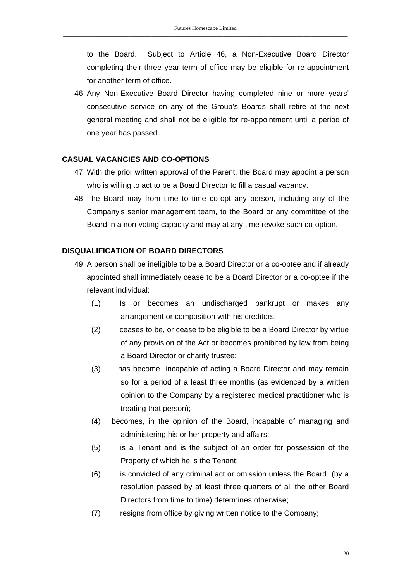to the Board. Subject to Article 46, a Non-Executive Board Director completing their three year term of office may be eligible for re-appointment for another term of office.

46 Any Non-Executive Board Director having completed nine or more years' consecutive service on any of the Group's Boards shall retire at the next general meeting and shall not be eligible for re-appointment until a period of one year has passed.

### **CASUAL VACANCIES AND CO-OPTIONS**

- 47 With the prior written approval of the Parent, the Board may appoint a person who is willing to act to be a Board Director to fill a casual vacancy.
- 48 The Board may from time to time co-opt any person, including any of the Company's senior management team, to the Board or any committee of the Board in a non-voting capacity and may at any time revoke such co-option.

### **DISQUALIFICATION OF BOARD DIRECTORS**

- 49 A person shall be ineligible to be a Board Director or a co-optee and if already appointed shall immediately cease to be a Board Director or a co-optee if the relevant individual:
	- (1) Is or becomes an undischarged bankrupt or makes any arrangement or composition with his creditors;
	- (2) ceases to be, or cease to be eligible to be a Board Director by virtue of any provision of the Act or becomes prohibited by law from being a Board Director or charity trustee;
	- (3) has become incapable of acting a Board Director and may remain so for a period of a least three months (as evidenced by a written opinion to the Company by a registered medical practitioner who is treating that person);
	- (4) becomes, in the opinion of the Board, incapable of managing and administering his or her property and affairs;
	- (5) is a Tenant and is the subject of an order for possession of the Property of which he is the Tenant;
	- (6) is convicted of any criminal act or omission unless the Board (by a resolution passed by at least three quarters of all the other Board Directors from time to time) determines otherwise;
	- (7) resigns from office by giving written notice to the Company;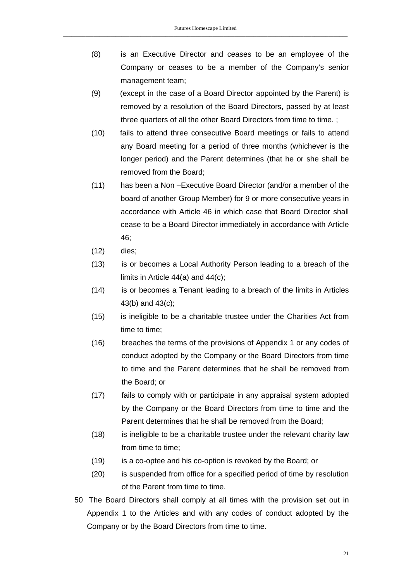- (8) is an Executive Director and ceases to be an employee of the Company or ceases to be a member of the Company's senior management team;
- (9) (except in the case of a Board Director appointed by the Parent) is removed by a resolution of the Board Directors, passed by at least three quarters of all the other Board Directors from time to time. ;
- (10) fails to attend three consecutive Board meetings or fails to attend any Board meeting for a period of three months (whichever is the longer period) and the Parent determines (that he or she shall be removed from the Board;
- (11) has been a Non –Executive Board Director (and/or a member of the board of another Group Member) for 9 or more consecutive years in accordance with Article 46 in which case that Board Director shall cease to be a Board Director immediately in accordance with Article 46;
- (12) dies;
- (13) is or becomes a Local Authority Person leading to a breach of the limits in Article 44(a) and 44(c);
- (14) is or becomes a Tenant leading to a breach of the limits in Articles 43(b) and 43(c);
- (15) is ineligible to be a charitable trustee under the Charities Act from time to time;
- (16) breaches the terms of the provisions of Appendix 1 or any codes of conduct adopted by the Company or the Board Directors from time to time and the Parent determines that he shall be removed from the Board; or
- (17) fails to comply with or participate in any appraisal system adopted by the Company or the Board Directors from time to time and the Parent determines that he shall be removed from the Board;
- (18) is ineligible to be a charitable trustee under the relevant charity law from time to time;
- (19) is a co-optee and his co-option is revoked by the Board; or
- (20) is suspended from office for a specified period of time by resolution of the Parent from time to time.
- 50 The Board Directors shall comply at all times with the provision set out in Appendix 1 to the Articles and with any codes of conduct adopted by the Company or by the Board Directors from time to time.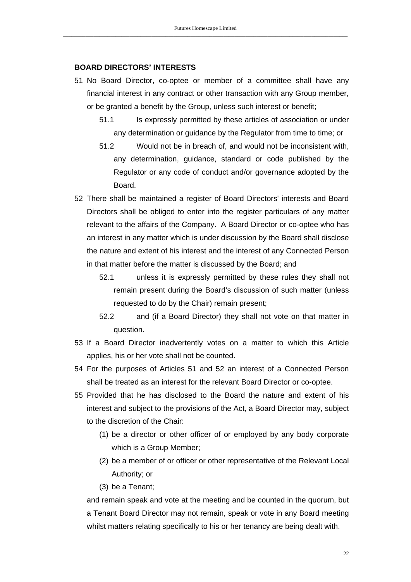#### **BOARD DIRECTORS' INTERESTS**

- 51 No Board Director, co-optee or member of a committee shall have any financial interest in any contract or other transaction with any Group member, or be granted a benefit by the Group, unless such interest or benefit;
	- 51.1 Is expressly permitted by these articles of association or under any determination or guidance by the Regulator from time to time; or
	- 51.2 Would not be in breach of, and would not be inconsistent with, any determination, guidance, standard or code published by the Regulator or any code of conduct and/or governance adopted by the Board.
- 52 There shall be maintained a register of Board Directors' interests and Board Directors shall be obliged to enter into the register particulars of any matter relevant to the affairs of the Company. A Board Director or co-optee who has an interest in any matter which is under discussion by the Board shall disclose the nature and extent of his interest and the interest of any Connected Person in that matter before the matter is discussed by the Board; and
	- 52.1 unless it is expressly permitted by these rules they shall not remain present during the Board's discussion of such matter (unless requested to do by the Chair) remain present;
	- 52.2 and (if a Board Director) they shall not vote on that matter in question.
- 53 If a Board Director inadvertently votes on a matter to which this Article applies, his or her vote shall not be counted.
- 54 For the purposes of Articles 51 and 52 an interest of a Connected Person shall be treated as an interest for the relevant Board Director or co-optee.
- 55 Provided that he has disclosed to the Board the nature and extent of his interest and subject to the provisions of the Act, a Board Director may, subject to the discretion of the Chair:
	- (1) be a director or other officer of or employed by any body corporate which is a Group Member;
	- (2) be a member of or officer or other representative of the Relevant Local Authority; or
	- (3) be a Tenant;

and remain speak and vote at the meeting and be counted in the quorum, but a Tenant Board Director may not remain, speak or vote in any Board meeting whilst matters relating specifically to his or her tenancy are being dealt with.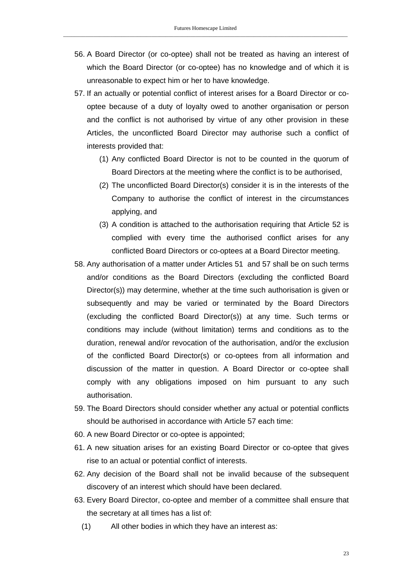- 56. A Board Director (or co-optee) shall not be treated as having an interest of which the Board Director (or co-optee) has no knowledge and of which it is unreasonable to expect him or her to have knowledge.
- 57. If an actually or potential conflict of interest arises for a Board Director or cooptee because of a duty of loyalty owed to another organisation or person and the conflict is not authorised by virtue of any other provision in these Articles, the unconflicted Board Director may authorise such a conflict of interests provided that:
	- (1) Any conflicted Board Director is not to be counted in the quorum of Board Directors at the meeting where the conflict is to be authorised,
	- (2) The unconflicted Board Director(s) consider it is in the interests of the Company to authorise the conflict of interest in the circumstances applying, and
	- (3) A condition is attached to the authorisation requiring that Article 52 is complied with every time the authorised conflict arises for any conflicted Board Directors or co-optees at a Board Director meeting.
- 58. Any authorisation of a matter under Articles 51 and 57 shall be on such terms and/or conditions as the Board Directors (excluding the conflicted Board Director(s)) may determine, whether at the time such authorisation is given or subsequently and may be varied or terminated by the Board Directors (excluding the conflicted Board Director(s)) at any time. Such terms or conditions may include (without limitation) terms and conditions as to the duration, renewal and/or revocation of the authorisation, and/or the exclusion of the conflicted Board Director(s) or co-optees from all information and discussion of the matter in question. A Board Director or co-optee shall comply with any obligations imposed on him pursuant to any such authorisation.
- 59. The Board Directors should consider whether any actual or potential conflicts should be authorised in accordance with Article 57 each time:
- 60. A new Board Director or co-optee is appointed;
- 61. A new situation arises for an existing Board Director or co-optee that gives rise to an actual or potential conflict of interests.
- 62. Any decision of the Board shall not be invalid because of the subsequent discovery of an interest which should have been declared.
- 63. Every Board Director, co-optee and member of a committee shall ensure that the secretary at all times has a list of:
	- (1) All other bodies in which they have an interest as: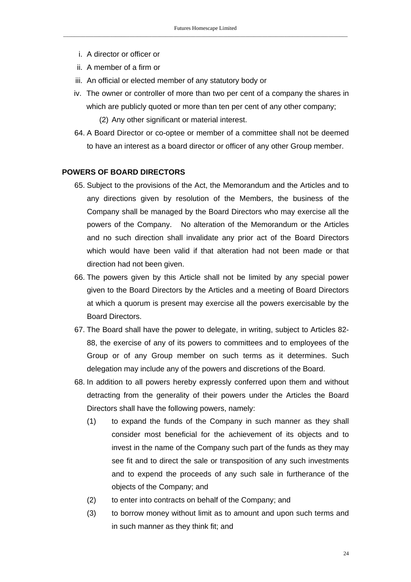- i. A director or officer or
- ii. A member of a firm or
- iii. An official or elected member of any statutory body or
- iv. The owner or controller of more than two per cent of a company the shares in which are publicly quoted or more than ten per cent of any other company; (2) Any other significant or material interest.
- 64. A Board Director or co-optee or member of a committee shall not be deemed to have an interest as a board director or officer of any other Group member.

### **POWERS OF BOARD DIRECTORS**

- 65. Subject to the provisions of the Act, the Memorandum and the Articles and to any directions given by resolution of the Members, the business of the Company shall be managed by the Board Directors who may exercise all the powers of the Company. No alteration of the Memorandum or the Articles and no such direction shall invalidate any prior act of the Board Directors which would have been valid if that alteration had not been made or that direction had not been given.
- 66. The powers given by this Article shall not be limited by any special power given to the Board Directors by the Articles and a meeting of Board Directors at which a quorum is present may exercise all the powers exercisable by the Board Directors.
- 67. The Board shall have the power to delegate, in writing, subject to Articles 82- 88, the exercise of any of its powers to committees and to employees of the Group or of any Group member on such terms as it determines. Such delegation may include any of the powers and discretions of the Board.
- 68. In addition to all powers hereby expressly conferred upon them and without detracting from the generality of their powers under the Articles the Board Directors shall have the following powers, namely:
	- (1) to expand the funds of the Company in such manner as they shall consider most beneficial for the achievement of its objects and to invest in the name of the Company such part of the funds as they may see fit and to direct the sale or transposition of any such investments and to expend the proceeds of any such sale in furtherance of the objects of the Company; and
	- (2) to enter into contracts on behalf of the Company; and
	- (3) to borrow money without limit as to amount and upon such terms and in such manner as they think fit; and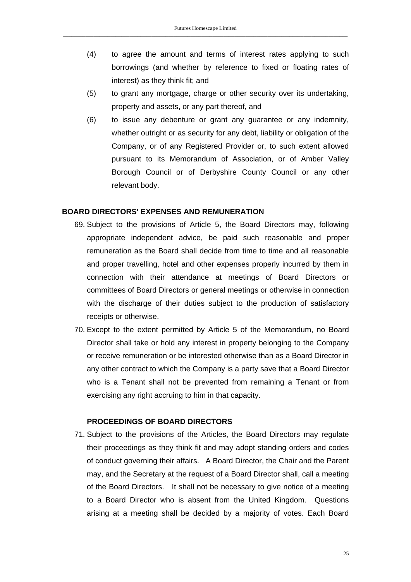- (4) to agree the amount and terms of interest rates applying to such borrowings (and whether by reference to fixed or floating rates of interest) as they think fit; and
- (5) to grant any mortgage, charge or other security over its undertaking, property and assets, or any part thereof, and
- (6) to issue any debenture or grant any guarantee or any indemnity, whether outright or as security for any debt, liability or obligation of the Company, or of any Registered Provider or, to such extent allowed pursuant to its Memorandum of Association, or of Amber Valley Borough Council or of Derbyshire County Council or any other relevant body.

#### **BOARD DIRECTORS' EXPENSES AND REMUNERATION**

- 69. Subject to the provisions of Article 5, the Board Directors may, following appropriate independent advice, be paid such reasonable and proper remuneration as the Board shall decide from time to time and all reasonable and proper travelling, hotel and other expenses properly incurred by them in connection with their attendance at meetings of Board Directors or committees of Board Directors or general meetings or otherwise in connection with the discharge of their duties subject to the production of satisfactory receipts or otherwise.
- 70. Except to the extent permitted by Article 5 of the Memorandum, no Board Director shall take or hold any interest in property belonging to the Company or receive remuneration or be interested otherwise than as a Board Director in any other contract to which the Company is a party save that a Board Director who is a Tenant shall not be prevented from remaining a Tenant or from exercising any right accruing to him in that capacity.

#### **PROCEEDINGS OF BOARD DIRECTORS**

71. Subject to the provisions of the Articles, the Board Directors may regulate their proceedings as they think fit and may adopt standing orders and codes of conduct governing their affairs. A Board Director, the Chair and the Parent may, and the Secretary at the request of a Board Director shall, call a meeting of the Board Directors. It shall not be necessary to give notice of a meeting to a Board Director who is absent from the United Kingdom. Questions arising at a meeting shall be decided by a majority of votes. Each Board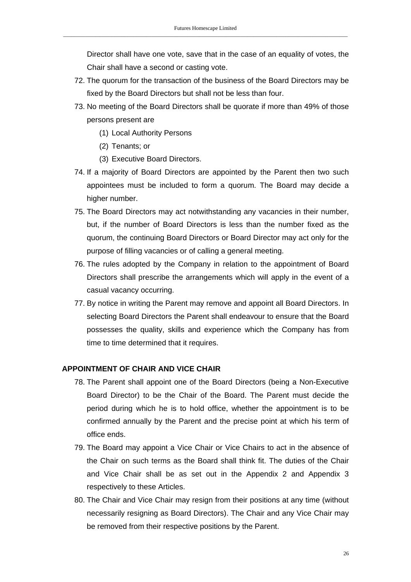Director shall have one vote, save that in the case of an equality of votes, the Chair shall have a second or casting vote.

- 72. The quorum for the transaction of the business of the Board Directors may be fixed by the Board Directors but shall not be less than four.
- 73. No meeting of the Board Directors shall be quorate if more than 49% of those persons present are
	- (1) Local Authority Persons
	- (2) Tenants; or
	- (3) Executive Board Directors.
- 74. If a majority of Board Directors are appointed by the Parent then two such appointees must be included to form a quorum. The Board may decide a higher number.
- 75. The Board Directors may act notwithstanding any vacancies in their number, but, if the number of Board Directors is less than the number fixed as the quorum, the continuing Board Directors or Board Director may act only for the purpose of filling vacancies or of calling a general meeting.
- 76. The rules adopted by the Company in relation to the appointment of Board Directors shall prescribe the arrangements which will apply in the event of a casual vacancy occurring.
- 77. By notice in writing the Parent may remove and appoint all Board Directors. In selecting Board Directors the Parent shall endeavour to ensure that the Board possesses the quality, skills and experience which the Company has from time to time determined that it requires.

#### **APPOINTMENT OF CHAIR AND VICE CHAIR**

- 78. The Parent shall appoint one of the Board Directors (being a Non-Executive Board Director) to be the Chair of the Board. The Parent must decide the period during which he is to hold office, whether the appointment is to be confirmed annually by the Parent and the precise point at which his term of office ends.
- 79. The Board may appoint a Vice Chair or Vice Chairs to act in the absence of the Chair on such terms as the Board shall think fit. The duties of the Chair and Vice Chair shall be as set out in the Appendix 2 and Appendix 3 respectively to these Articles.
- 80. The Chair and Vice Chair may resign from their positions at any time (without necessarily resigning as Board Directors). The Chair and any Vice Chair may be removed from their respective positions by the Parent.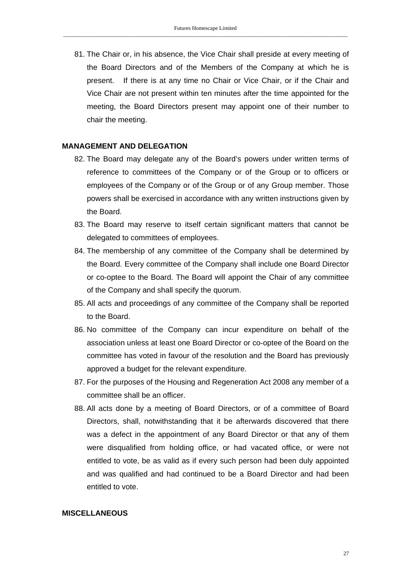81. The Chair or, in his absence, the Vice Chair shall preside at every meeting of the Board Directors and of the Members of the Company at which he is present. If there is at any time no Chair or Vice Chair, or if the Chair and Vice Chair are not present within ten minutes after the time appointed for the meeting, the Board Directors present may appoint one of their number to chair the meeting.

#### **MANAGEMENT AND DELEGATION**

- 82. The Board may delegate any of the Board's powers under written terms of reference to committees of the Company or of the Group or to officers or employees of the Company or of the Group or of any Group member. Those powers shall be exercised in accordance with any written instructions given by the Board.
- 83. The Board may reserve to itself certain significant matters that cannot be delegated to committees of employees.
- 84. The membership of any committee of the Company shall be determined by the Board. Every committee of the Company shall include one Board Director or co-optee to the Board. The Board will appoint the Chair of any committee of the Company and shall specify the quorum.
- 85. All acts and proceedings of any committee of the Company shall be reported to the Board.
- 86. No committee of the Company can incur expenditure on behalf of the association unless at least one Board Director or co-optee of the Board on the committee has voted in favour of the resolution and the Board has previously approved a budget for the relevant expenditure.
- 87. For the purposes of the Housing and Regeneration Act 2008 any member of a committee shall be an officer.
- 88. All acts done by a meeting of Board Directors, or of a committee of Board Directors, shall, notwithstanding that it be afterwards discovered that there was a defect in the appointment of any Board Director or that any of them were disqualified from holding office, or had vacated office, or were not entitled to vote, be as valid as if every such person had been duly appointed and was qualified and had continued to be a Board Director and had been entitled to vote.

### **MISCELLANEOUS**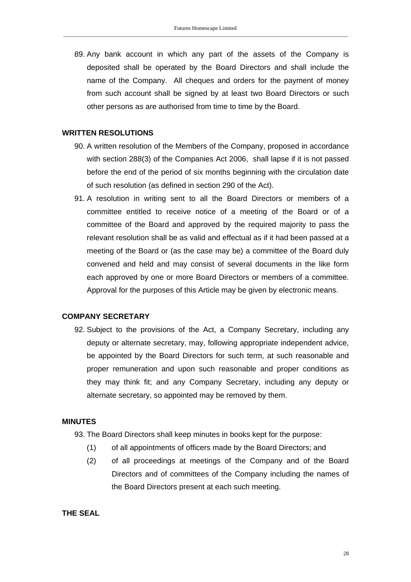89. Any bank account in which any part of the assets of the Company is deposited shall be operated by the Board Directors and shall include the name of the Company. All cheques and orders for the payment of money from such account shall be signed by at least two Board Directors or such other persons as are authorised from time to time by the Board.

#### **WRITTEN RESOLUTIONS**

- 90. A written resolution of the Members of the Company, proposed in accordance with section 288(3) of the Companies Act 2006, shall lapse if it is not passed before the end of the period of six months beginning with the circulation date of such resolution (as defined in section 290 of the Act).
- 91. A resolution in writing sent to all the Board Directors or members of a committee entitled to receive notice of a meeting of the Board or of a committee of the Board and approved by the required majority to pass the relevant resolution shall be as valid and effectual as if it had been passed at a meeting of the Board or (as the case may be) a committee of the Board duly convened and held and may consist of several documents in the like form each approved by one or more Board Directors or members of a committee. Approval for the purposes of this Article may be given by electronic means.

#### **COMPANY SECRETARY**

92. Subject to the provisions of the Act, a Company Secretary, including any deputy or alternate secretary, may, following appropriate independent advice, be appointed by the Board Directors for such term, at such reasonable and proper remuneration and upon such reasonable and proper conditions as they may think fit; and any Company Secretary, including any deputy or alternate secretary, so appointed may be removed by them.

#### **MINUTES**

- 93. The Board Directors shall keep minutes in books kept for the purpose:
	- (1) of all appointments of officers made by the Board Directors; and
	- (2) of all proceedings at meetings of the Company and of the Board Directors and of committees of the Company including the names of the Board Directors present at each such meeting.

**THE SEAL**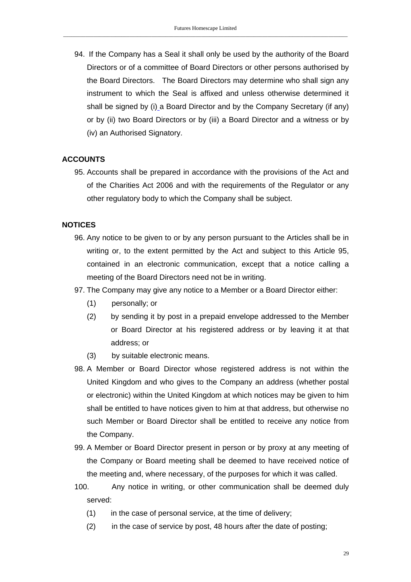94. If the Company has a Seal it shall only be used by the authority of the Board Directors or of a committee of Board Directors or other persons authorised by the Board Directors. The Board Directors may determine who shall sign any instrument to which the Seal is affixed and unless otherwise determined it shall be signed by (i) a Board Director and by the Company Secretary (if any) or by (ii) two Board Directors or by (iii) a Board Director and a witness or by (iv) an Authorised Signatory.

### **ACCOUNTS**

95. Accounts shall be prepared in accordance with the provisions of the Act and of the Charities Act 2006 and with the requirements of the Regulator or any other regulatory body to which the Company shall be subject.

### **NOTICES**

- 96. Any notice to be given to or by any person pursuant to the Articles shall be in writing or, to the extent permitted by the Act and subject to this Article 95, contained in an electronic communication, except that a notice calling a meeting of the Board Directors need not be in writing.
- 97. The Company may give any notice to a Member or a Board Director either:
	- (1) personally; or
	- (2) by sending it by post in a prepaid envelope addressed to the Member or Board Director at his registered address or by leaving it at that address; or
	- (3) by suitable electronic means.
- 98. A Member or Board Director whose registered address is not within the United Kingdom and who gives to the Company an address (whether postal or electronic) within the United Kingdom at which notices may be given to him shall be entitled to have notices given to him at that address, but otherwise no such Member or Board Director shall be entitled to receive any notice from the Company.
- 99. A Member or Board Director present in person or by proxy at any meeting of the Company or Board meeting shall be deemed to have received notice of the meeting and, where necessary, of the purposes for which it was called.
- 100. Any notice in writing, or other communication shall be deemed duly served:
	- (1) in the case of personal service, at the time of delivery;
	- (2) in the case of service by post, 48 hours after the date of posting;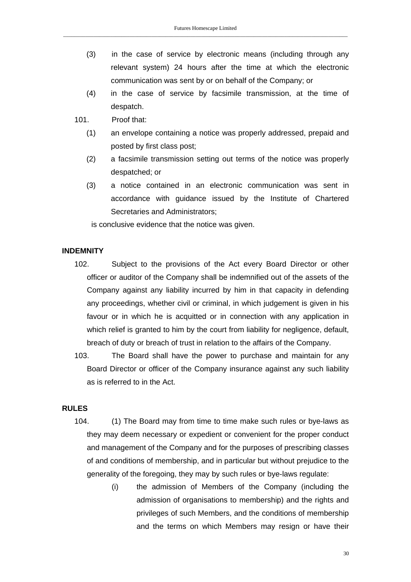- (3) in the case of service by electronic means (including through any relevant system) 24 hours after the time at which the electronic communication was sent by or on behalf of the Company; or
- (4) in the case of service by facsimile transmission, at the time of despatch.
- 101. Proof that:
	- (1) an envelope containing a notice was properly addressed, prepaid and posted by first class post;
	- (2) a facsimile transmission setting out terms of the notice was properly despatched; or
	- (3) a notice contained in an electronic communication was sent in accordance with guidance issued by the Institute of Chartered Secretaries and Administrators;

is conclusive evidence that the notice was given.

### **INDEMNITY**

- 102. Subject to the provisions of the Act every Board Director or other officer or auditor of the Company shall be indemnified out of the assets of the Company against any liability incurred by him in that capacity in defending any proceedings, whether civil or criminal, in which judgement is given in his favour or in which he is acquitted or in connection with any application in which relief is granted to him by the court from liability for negligence, default, breach of duty or breach of trust in relation to the affairs of the Company.
- 103. The Board shall have the power to purchase and maintain for any Board Director or officer of the Company insurance against any such liability as is referred to in the Act.

#### **RULES**

- 104. (1) The Board may from time to time make such rules or bye-laws as they may deem necessary or expedient or convenient for the proper conduct and management of the Company and for the purposes of prescribing classes of and conditions of membership, and in particular but without prejudice to the generality of the foregoing, they may by such rules or bye-laws regulate:
	- (i) the admission of Members of the Company (including the admission of organisations to membership) and the rights and privileges of such Members, and the conditions of membership and the terms on which Members may resign or have their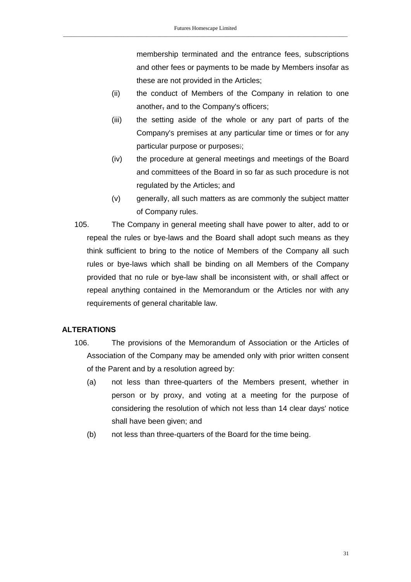membership terminated and the entrance fees, subscriptions and other fees or payments to be made by Members insofar as these are not provided in the Articles;

- (ii) the conduct of Members of the Company in relation to one another, and to the Company's officers;
- (iii) the setting aside of the whole or any part of parts of the Company's premises at any particular time or times or for any particular purpose or purposes:;
- (iv) the procedure at general meetings and meetings of the Board and committees of the Board in so far as such procedure is not regulated by the Articles; and
- (v) generally, all such matters as are commonly the subject matter of Company rules.
- 105. The Company in general meeting shall have power to alter, add to or repeal the rules or bye-laws and the Board shall adopt such means as they think sufficient to bring to the notice of Members of the Company all such rules or bye-laws which shall be binding on all Members of the Company provided that no rule or bye-law shall be inconsistent with, or shall affect or repeal anything contained in the Memorandum or the Articles nor with any requirements of general charitable law.

# **ALTERATIONS**

- 106. The provisions of the Memorandum of Association or the Articles of Association of the Company may be amended only with prior written consent of the Parent and by a resolution agreed by:
	- (a) not less than three-quarters of the Members present, whether in person or by proxy, and voting at a meeting for the purpose of considering the resolution of which not less than 14 clear days' notice shall have been given; and
	- (b) not less than three-quarters of the Board for the time being.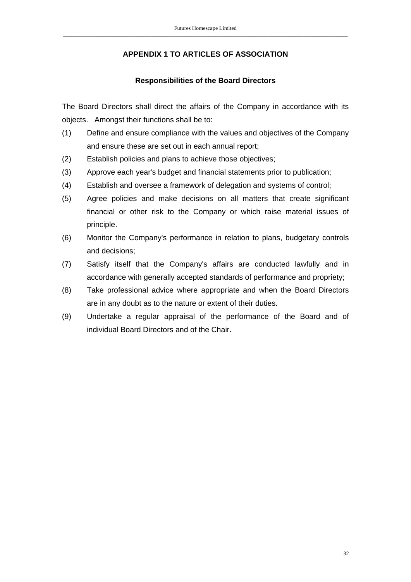# **APPENDIX 1 TO ARTICLES OF ASSOCIATION**

## **Responsibilities of the Board Directors**

The Board Directors shall direct the affairs of the Company in accordance with its objects. Amongst their functions shall be to:

- (1) Define and ensure compliance with the values and objectives of the Company and ensure these are set out in each annual report;
- (2) Establish policies and plans to achieve those objectives;
- (3) Approve each year's budget and financial statements prior to publication;
- (4) Establish and oversee a framework of delegation and systems of control;
- (5) Agree policies and make decisions on all matters that create significant financial or other risk to the Company or which raise material issues of principle.
- (6) Monitor the Company's performance in relation to plans, budgetary controls and decisions;
- (7) Satisfy itself that the Company's affairs are conducted lawfully and in accordance with generally accepted standards of performance and propriety;
- (8) Take professional advice where appropriate and when the Board Directors are in any doubt as to the nature or extent of their duties.
- (9) Undertake a regular appraisal of the performance of the Board and of individual Board Directors and of the Chair.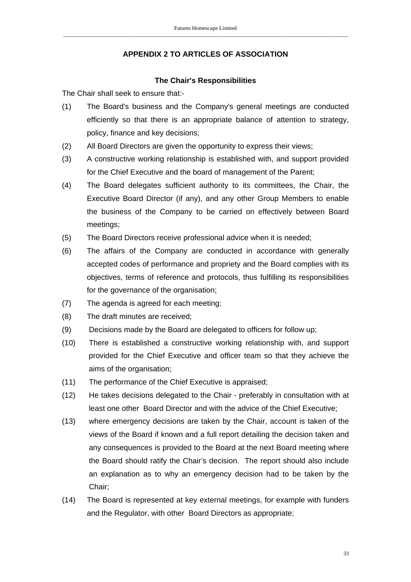# **APPENDIX 2 TO ARTICLES OF ASSOCIATION**

### **The Chair's Responsibilities**

The Chair shall seek to ensure that:-

- (1) The Board's business and the Company's general meetings are conducted efficiently so that there is an appropriate balance of attention to strategy, policy, finance and key decisions;
- (2) All Board Directors are given the opportunity to express their views;
- (3) A constructive working relationship is established with, and support provided for the Chief Executive and the board of management of the Parent;
- (4) The Board delegates sufficient authority to its committees, the Chair, the Executive Board Director (if any), and any other Group Members to enable the business of the Company to be carried on effectively between Board meetings;
- (5) The Board Directors receive professional advice when it is needed;
- (6) The affairs of the Company are conducted in accordance with generally accepted codes of performance and propriety and the Board complies with its objectives, terms of reference and protocols, thus fulfilling its responsibilities for the governance of the organisation;
- (7) The agenda is agreed for each meeting;
- (8) The draft minutes are received;
- (9) Decisions made by the Board are delegated to officers for follow up;
- (10) There is established a constructive working relationship with, and support provided for the Chief Executive and officer team so that they achieve the aims of the organisation;
- (11) The performance of the Chief Executive is appraised;
- (12) He takes decisions delegated to the Chair preferably in consultation with at least one other Board Director and with the advice of the Chief Executive;
- (13) where emergency decisions are taken by the Chair, account is taken of the views of the Board if known and a full report detailing the decision taken and any consequences is provided to the Board at the next Board meeting where the Board should ratify the Chair's decision. The report should also include an explanation as to why an emergency decision had to be taken by the Chair;
- (14) The Board is represented at key external meetings, for example with funders and the Regulator, with other Board Directors as appropriate;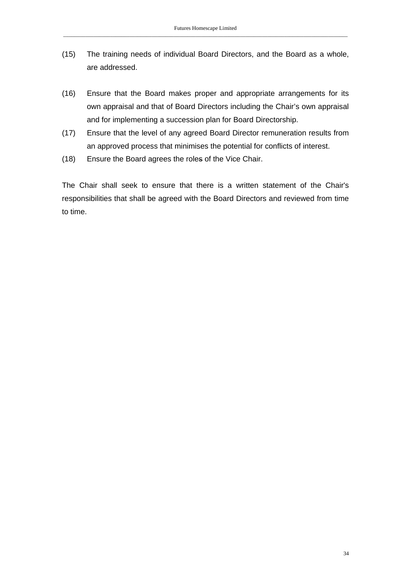- (15) The training needs of individual Board Directors, and the Board as a whole, are addressed.
- (16) Ensure that the Board makes proper and appropriate arrangements for its own appraisal and that of Board Directors including the Chair's own appraisal and for implementing a succession plan for Board Directorship.
- (17) Ensure that the level of any agreed Board Director remuneration results from an approved process that minimises the potential for conflicts of interest.
- (18) Ensure the Board agrees the roles of the Vice Chair.

The Chair shall seek to ensure that there is a written statement of the Chair's responsibilities that shall be agreed with the Board Directors and reviewed from time to time.